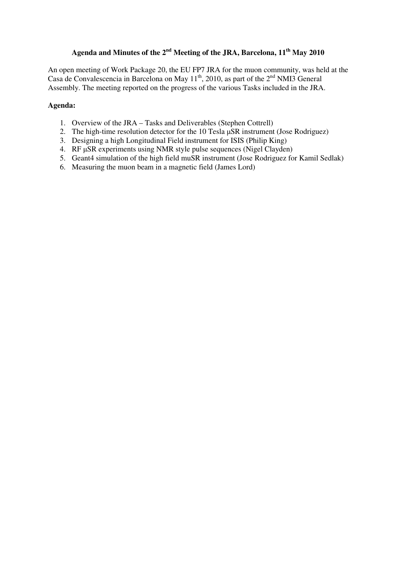# **Agenda and Minutes of the 2nd Meeting of the JRA, Barcelona, 11th May 2010**

An open meeting of Work Package 20, the EU FP7 JRA for the muon community, was held at the Casa de Convalescencia in Barcelona on May  $11^{th}$ , 2010, as part of the  $2^{nd}$  NMI3 General Assembly. The meeting reported on the progress of the various Tasks included in the JRA.

## **Agenda:**

- 1. Overview of the JRA Tasks and Deliverables (Stephen Cottrell)
- 2. The high-time resolution detector for the 10 Tesla µSR instrument (Jose Rodriguez)
- 3. Designing a high Longitudinal Field instrument for ISIS (Philip King)
- 4. RF µSR experiments using NMR style pulse sequences (Nigel Clayden)
- 5. Geant4 simulation of the high field muSR instrument (Jose Rodriguez for Kamil Sedlak)
- 6. Measuring the muon beam in a magnetic field (James Lord)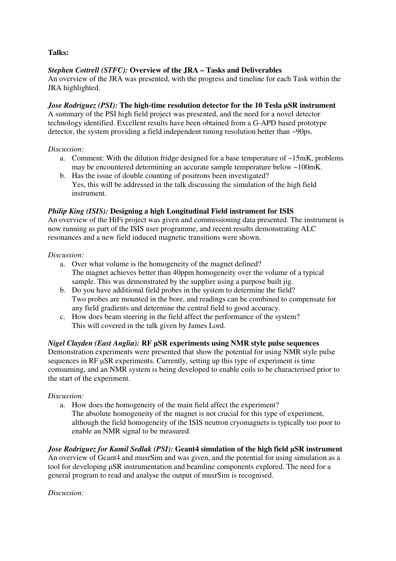**Talks:** 

## *Stephen Cottrell (STFC):* **Overview of the JRA – Tasks and Deliverables**

An overview of the JRA was presented, with the progress and timeline for each Task within the JRA highlighted.

## *Jose Rodriguez (PSI):* The high-time resolution detector for the 10 Tesla  $\mu$ SR instrument

A summary of the PSI high field project was presented, and the need for a novel detector technology identified. Excellent results have been obtained from a G-APD based prototype detector, the system providing a field independent timing resolution better than ~90ps.

## *Discussion:*

- a. Comment: With the dilution fridge designed for a base temperature of  $\sim$ 15mK, problems may be encountered determining an accurate sample temperature below ~100mK.
- b. Has the issue of double counting of positrons been investigated? Yes, this will be addressed in the talk discussing the simulation of the high field instrument.

## *Philip King (ISIS):* **Designing a high Longitudinal Field instrument for ISIS**

An overview of the HiFi project was given and commissioning data presented. The instrument is now running as part of the ISIS user programme, and recent results demonstrating ALC resonances and a new field induced magnetic transitions were shown.

#### *Discussion:*

- a. Over what volume is the homogeneity of the magnet defined? The magnet achieves better than 40ppm homogeneity over the volume of a typical sample. This was demonstrated by the supplier using a purpose built jig.
- b. Do you have additional field probes in the system to determine the field? Two probes are mounted in the bore, and readings can be combined to compensate for any field gradients and determine the central field to good accuracy.
- c. How does beam steering in the field affect the performance of the system? This will covered in the talk given by James Lord.

#### *Nigel Clayden (East Anglia):* **RF** µ**SR experiments using NMR style pulse sequences**

Demonstration experiments were presented that show the potential for using NMR style pulse sequences in RF  $\mu$ SR experiments. Currently, setting up this type of experiment is time comsuming, and an NMR system is being developed to enable coils to be characterised prior to the start of the experiment.

#### *Discussion:*

a. How does the homogeneity of the main field affect the experiment? The absolute homogeneity of the magnet is not crucial for this type of experiment, although the field homogeneity of the ISIS neutron cryomagnets is typically too poor to enable an NMR signal to be measured.

*Jose Rodriguez for Kamil Sedlak (PSI):* **Geant4 simulation of the high field** µ**SR instrument**  An overview of Geant4 and musrSim and was given, and the potential for using simulation as a tool for developing µSR instrumentation and beamline components explored. The need for a general program to read and analyse the output of musrSim is recognised.

*Discussion:*